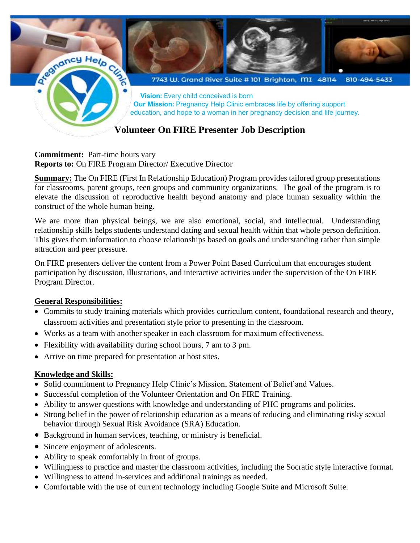

#### **Commitment:** Part-time hours vary **Reports to:** On FIRE Program Director/ Executive Director

**Summary:** The On FIRE (First In Relationship Education) Program provides tailored group presentations for classrooms, parent groups, teen groups and community organizations. The goal of the program is to elevate the discussion of reproductive health beyond anatomy and place human sexuality within the construct of the whole human being.

We are more than physical beings, we are also emotional, social, and intellectual. Understanding relationship skills helps students understand dating and sexual health within that whole person definition. This gives them information to choose relationships based on goals and understanding rather than simple attraction and peer pressure.

On FIRE presenters deliver the content from a Power Point Based Curriculum that encourages student participation by discussion, illustrations, and interactive activities under the supervision of the On FIRE Program Director.

## **General Responsibilities:**

- Commits to study training materials which provides curriculum content, foundational research and theory, classroom activities and presentation style prior to presenting in the classroom.
- Works as a team with another speaker in each classroom for maximum effectiveness.
- Flexibility with availability during school hours, 7 am to 3 pm.
- Arrive on time prepared for presentation at host sites.

### **Knowledge and Skills:**

- Solid commitment to Pregnancy Help Clinic's Mission, Statement of Belief and Values.
- Successful completion of the Volunteer Orientation and On FIRE Training.
- Ability to answer questions with knowledge and understanding of PHC programs and policies.
- Strong belief in the power of relationship education as a means of reducing and eliminating risky sexual behavior through Sexual Risk Avoidance (SRA) Education.
- Background in human services, teaching, or ministry is beneficial.
- Sincere enjoyment of adolescents.
- Ability to speak comfortably in front of groups.
- Willingness to practice and master the classroom activities, including the Socratic style interactive format.
- Willingness to attend in-services and additional trainings as needed.
- Comfortable with the use of current technology including Google Suite and Microsoft Suite.